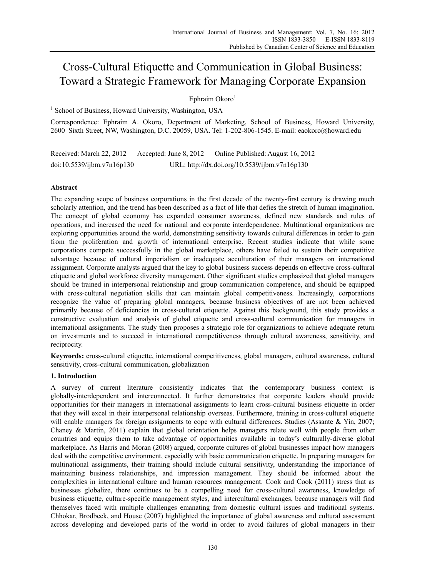# Cross-Cultural Etiquette and Communication in Global Business: Toward a Strategic Framework for Managing Corporate Expansion

Ephraim Okoro $1$ 

<sup>1</sup> School of Business, Howard University, Washington, USA

Correspondence: Ephraim A. Okoro, Department of Marketing, School of Business, Howard University, 2600–Sixth Street, NW, Washington, D.C. 20059, USA. Tel: 1-202-806-1545. E-mail: eaokoro@howard.edu

Received: March 22, 2012 Accepted: June 8, 2012 Online Published: August 16, 2012 doi:10.5539/ijbm.v7n16p130 URL: http://dx.doi.org/10.5539/ijbm.v7n16p130

# **Abstract**

The expanding scope of business corporations in the first decade of the twenty-first century is drawing much scholarly attention, and the trend has been described as a fact of life that defies the stretch of human imagination. The concept of global economy has expanded consumer awareness, defined new standards and rules of operations, and increased the need for national and corporate interdependence. Multinational organizations are exploring opportunities around the world, demonstrating sensitivity towards cultural differences in order to gain from the proliferation and growth of international enterprise. Recent studies indicate that while some corporations compete successfully in the global marketplace, others have failed to sustain their competitive advantage because of cultural imperialism or inadequate acculturation of their managers on international assignment. Corporate analysts argued that the key to global business success depends on effective cross-cultural etiquette and global workforce diversity management. Other significant studies emphasized that global managers should be trained in interpersonal relationship and group communication competence, and should be equipped with cross-cultural negotiation skills that can maintain global competitiveness. Increasingly, corporations recognize the value of preparing global managers, because business objectives of are not been achieved primarily because of deficiencies in cross-cultural etiquette. Against this background, this study provides a constructive evaluation and analysis of global etiquette and cross-cultural communication for managers in international assignments. The study then proposes a strategic role for organizations to achieve adequate return on investments and to succeed in international competitiveness through cultural awareness, sensitivity, and reciprocity.

**Keywords:** cross-cultural etiquette, international competitiveness, global managers, cultural awareness, cultural sensitivity, cross-cultural communication, globalization

# **1. Introduction**

A survey of current literature consistently indicates that the contemporary business context is globally-interdependent and interconnected. It further demonstrates that corporate leaders should provide opportunities for their managers in international assignments to learn cross-cultural business etiquette in order that they will excel in their interpersonal relationship overseas. Furthermore, training in cross-cultural etiquette will enable managers for foreign assignments to cope with cultural differences. Studies (Assante & Yin, 2007; Chaney & Martin, 2011) explain that global orientation helps managers relate well with people from other countries and equips them to take advantage of opportunities available in today's culturally-diverse global marketplace. As Harris and Moran (2008) argued, corporate cultures of global businesses impact how managers deal with the competitive environment, especially with basic communication etiquette. In preparing managers for multinational assignments, their training should include cultural sensitivity, understanding the importance of maintaining business relationships, and impression management. They should be informed about the complexities in international culture and human resources management. Cook and Cook (2011) stress that as businesses globalize, there continues to be a compelling need for cross-cultural awareness, knowledge of business etiquette, culture-specific management styles, and intercultural exchanges, because managers will find themselves faced with multiple challenges emanating from domestic cultural issues and traditional systems. Chhokar, Brodbeck, and House (2007) highlighted the importance of global awareness and cultural assessment across developing and developed parts of the world in order to avoid failures of global managers in their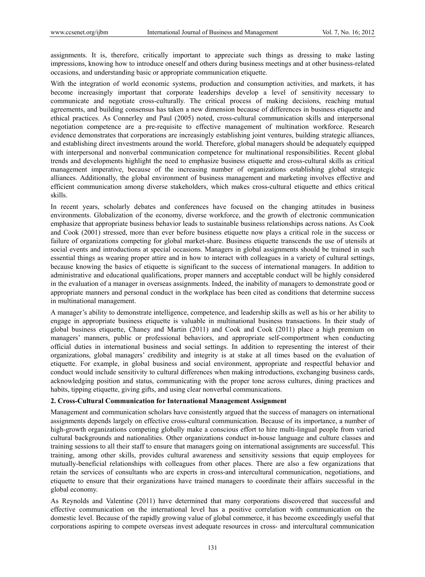assignments. It is, therefore, critically important to appreciate such things as dressing to make lasting impressions, knowing how to introduce oneself and others during business meetings and at other business-related occasions, and understanding basic or appropriate communication etiquette.

With the integration of world economic systems, production and consumption activities, and markets, it has become increasingly important that corporate leaderships develop a level of sensitivity necessary to communicate and negotiate cross-culturally. The critical process of making decisions, reaching mutual agreements, and building consensus has taken a new dimension because of differences in business etiquette and ethical practices. As Connerley and Paul (2005) noted, cross-cultural communication skills and interpersonal negotiation competence are a pre-requisite to effective management of multination workforce. Research evidence demonstrates that corporations are increasingly establishing joint ventures, building strategic alliances, and establishing direct investments around the world. Therefore, global managers should be adequately equipped with interpersonal and nonverbal communication competence for multinational responsibilities. Recent global trends and developments highlight the need to emphasize business etiquette and cross-cultural skills as critical management imperative, because of the increasing number of organizations establishing global strategic alliances. Additionally, the global environment of business management and marketing involves effective and efficient communication among diverse stakeholders, which makes cross-cultural etiquette and ethics critical skills.

In recent years, scholarly debates and conferences have focused on the changing attitudes in business environments. Globalization of the economy, diverse workforce, and the growth of electronic communication emphasize that appropriate business behavior leads to sustainable business relationships across nations. As Cook and Cook (2001) stressed, more than ever before business etiquette now plays a critical role in the success or failure of organizations competing for global market-share. Business etiquette transcends the use of utensils at social events and introductions at special occasions. Managers in global assignments should be trained in such essential things as wearing proper attire and in how to interact with colleagues in a variety of cultural settings, because knowing the basics of etiquette is significant to the success of international managers. In addition to administrative and educational qualifications, proper manners and acceptable conduct will be highly considered in the evaluation of a manager in overseas assignments. Indeed, the inability of managers to demonstrate good or appropriate manners and personal conduct in the workplace has been cited as conditions that determine success in multinational management.

A manager's ability to demonstrate intelligence, competence, and leadership skills as well as his or her ability to engage in appropriate business etiquette is valuable in multinational business transactions. In their study of global business etiquette, Chaney and Martin (2011) and Cook and Cook (2011) place a high premium on managers' manners, public or professional behaviors, and appropriate self-comportment when conducting official duties in international business and social settings. In addition to representing the interest of their organizations, global managers' credibility and integrity is at stake at all times based on the evaluation of etiquette. For example, in global business and social environment, appropriate and respectful behavior and conduct would include sensitivity to cultural differences when making introductions, exchanging business cards, acknowledging position and status, communicating with the proper tone across cultures, dining practices and habits, tipping etiquette, giving gifts, and using clear nonverbal communications.

# **2. Cross-Cultural Communication for International Management Assignment**

Management and communication scholars have consistently argued that the success of managers on international assignments depends largely on effective cross-cultural communication. Because of its importance, a number of high-growth organizations competing globally make a conscious effort to hire multi-lingual people from varied cultural backgrounds and nationalities. Other organizations conduct in-house language and culture classes and training sessions to all their staff to ensure that managers going on international assignments are successful. This training, among other skills, provides cultural awareness and sensitivity sessions that equip employees for mutually-beneficial relationships with colleagues from other places. There are also a few organizations that retain the services of consultants who are experts in cross-and intercultural communication, negotiations, and etiquette to ensure that their organizations have trained managers to coordinate their affairs successful in the global economy.

As Reynolds and Valentine (2011) have determined that many corporations discovered that successful and effective communication on the international level has a positive correlation with communication on the domestic level. Because of the rapidly growing value of global commerce, it has become exceedingly useful that corporations aspiring to compete overseas invest adequate resources in cross- and intercultural communication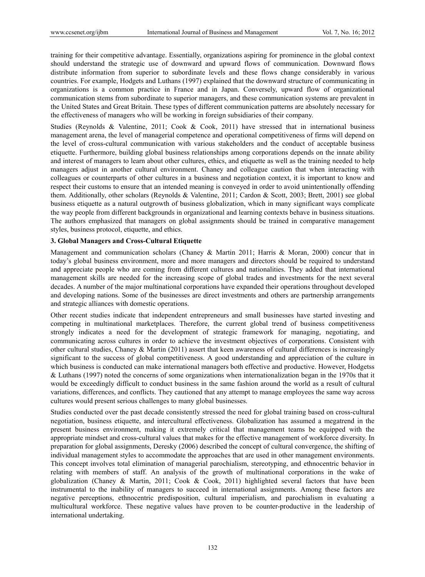training for their competitive advantage. Essentially, organizations aspiring for prominence in the global context should understand the strategic use of downward and upward flows of communication. Downward flows distribute information from superior to subordinate levels and these flows change considerably in various countries. For example, Hodgets and Luthans (1997) explained that the downward structure of communicating in organizations is a common practice in France and in Japan. Conversely, upward flow of organizational communication stems from subordinate to superior managers, and these communication systems are prevalent in the United States and Great Britain. These types of different communication patterns are absolutely necessary for the effectiveness of managers who will be working in foreign subsidiaries of their company.

Studies (Reynolds & Valentine, 2011; Cook & Cook, 2011) have stressed that in international business management arena, the level of managerial competence and operational competitiveness of firms will depend on the level of cross-cultural communication with various stakeholders and the conduct of acceptable business etiquette. Furthermore, building global business relationships among corporations depends on the innate ability and interest of managers to learn about other cultures, ethics, and etiquette as well as the training needed to help managers adjust in another cultural environment. Chaney and colleague caution that when interacting with colleagues or counterparts of other cultures in a business and negotiation context, it is important to know and respect their customs to ensure that an intended meaning is conveyed in order to avoid unintentionally offending them. Additionally, other scholars (Reynolds & Valentine, 2011; Cardon & Scott, 2003; Brett, 2001) see global business etiquette as a natural outgrowth of business globalization, which in many significant ways complicate the way people from different backgrounds in organizational and learning contexts behave in business situations. The authors emphasized that managers on global assignments should be trained in comparative management styles, business protocol, etiquette, and ethics.

# **3. Global Managers and Cross-Cultural Etiquette**

Management and communication scholars (Chaney & Martin 2011; Harris & Moran, 2000) concur that in today's global business environment, more and more managers and directors should be required to understand and appreciate people who are coming from different cultures and nationalities. They added that international management skills are needed for the increasing scope of global trades and investments for the next several decades. A number of the major multinational corporations have expanded their operations throughout developed and developing nations. Some of the businesses are direct investments and others are partnership arrangements and strategic alliances with domestic operations.

Other recent studies indicate that independent entrepreneurs and small businesses have started investing and competing in multinational marketplaces. Therefore, the current global trend of business competitiveness strongly indicates a need for the development of strategic framework for managing, negotiating, and communicating across cultures in order to achieve the investment objectives of corporations. Consistent with other cultural studies, Chaney & Martin (2011) assert that keen awareness of cultural differences is increasingly significant to the success of global competitiveness. A good understanding and appreciation of the culture in which business is conducted can make international managers both effective and productive. However, Hodgetss & Luthans (1997) noted the concerns of some organizations when internationalization began in the 1970s that it would be exceedingly difficult to conduct business in the same fashion around the world as a result of cultural variations, differences, and conflicts. They cautioned that any attempt to manage employees the same way across cultures would present serious challenges to many global businesses.

Studies conducted over the past decade consistently stressed the need for global training based on cross-cultural negotiation, business etiquette, and intercultural effectiveness. Globalization has assumed a megatrend in the present business environment, making it extremely critical that management teams be equipped with the appropriate mindset and cross-cultural values that makes for the effective management of workforce diversity. In preparation for global assignments, Deresky (2006) described the concept of cultural convergence, the shifting of individual management styles to accommodate the approaches that are used in other management environments. This concept involves total elimination of managerial parochialism, stereotyping, and ethnocentric behavior in relating with members of staff. An analysis of the growth of multinational corporations in the wake of globalization (Chaney & Martin, 2011; Cook & Cook, 2011) highlighted several factors that have been instrumental to the inability of managers to succeed in international assignments. Among these factors are negative perceptions, ethnocentric predisposition, cultural imperialism, and parochialism in evaluating a multicultural workforce. These negative values have proven to be counter-productive in the leadership of international undertaking.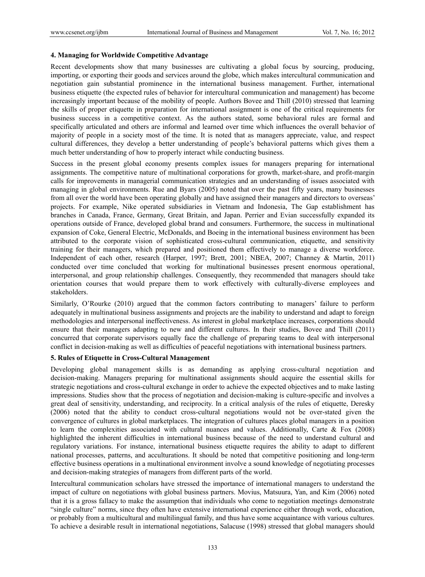#### **4. Managing for Worldwide Competitive Advantage**

Recent developments show that many businesses are cultivating a global focus by sourcing, producing, importing, or exporting their goods and services around the globe, which makes intercultural communication and negotiation gain substantial prominence in the international business management. Further, international business etiquette (the expected rules of behavior for intercultural communication and management) has become increasingly important because of the mobility of people. Authors Bovee and Thill (2010) stressed that learning the skills of proper etiquette in preparation for international assignment is one of the critical requirements for business success in a competitive context. As the authors stated, some behavioral rules are formal and specifically articulated and others are informal and learned over time which influences the overall behavior of majority of people in a society most of the time. It is noted that as managers appreciate, value, and respect cultural differences, they develop a better understanding of people's behavioral patterns which gives them a much better understanding of how to properly interact while conducting business.

Success in the present global economy presents complex issues for managers preparing for international assignments. The competitive nature of multinational corporations for growth, market-share, and profit-margin calls for improvements in managerial communication strategies and an understanding of issues associated with managing in global environments. Rue and Byars (2005) noted that over the past fifty years, many businesses from all over the world have been operating globally and have assigned their managers and directors to overseas' projects. For example, Nike operated subsidiaries in Vietnam and Indonesia, The Gap establishment has branches in Canada, France, Germany, Great Britain, and Japan. Perrier and Evian successfully expanded its operations outside of France, developed global brand and consumers. Furthermore, the success in multinational expansion of Coke, General Electric, McDonalds, and Boeing in the international business environment has been attributed to the corporate vision of sophisticated cross-cultural communication, etiquette, and sensitivity training for their managers, which prepared and positioned them effectively to manage a diverse workforce. Independent of each other, research (Harper, 1997; Brett, 2001; NBEA, 2007; Channey & Martin, 2011) conducted over time concluded that working for multinational businesses present enormous operational, interpersonal, and group relationship challenges. Consequently, they recommended that managers should take orientation courses that would prepare them to work effectively with culturally-diverse employees and stakeholders.

Similarly, O'Rourke (2010) argued that the common factors contributing to managers' failure to perform adequately in multinational business assignments and projects are the inability to understand and adapt to foreign methodologies and interpersonal ineffectiveness. As interest in global marketplace increases, corporations should ensure that their managers adapting to new and different cultures. In their studies, Bovee and Thill (2011) concurred that corporate supervisors equally face the challenge of preparing teams to deal with interpersonal conflict in decision-making as well as difficulties of peaceful negotiations with international business partners.

# **5. Rules of Etiquette in Cross-Cultural Management**

Developing global management skills is as demanding as applying cross-cultural negotiation and decision-making. Managers preparing for multinational assignments should acquire the essential skills for strategic negotiations and cross-cultural exchange in order to achieve the expected objectives and to make lasting impressions. Studies show that the process of negotiation and decision-making is culture-specific and involves a great deal of sensitivity, understanding, and reciprocity. In a critical analysis of the rules of etiquette, Deresky (2006) noted that the ability to conduct cross-cultural negotiations would not be over-stated given the convergence of cultures in global marketplaces. The integration of cultures places global managers in a position to learn the complexities associated with cultural nuances and values. Additionally, Carte & Fox (2008) highlighted the inherent difficulties in international business because of the need to understand cultural and regulatory variations. For instance, international business etiquette requires the ability to adapt to different national processes, patterns, and acculturations. It should be noted that competitive positioning and long-term effective business operations in a multinational environment involve a sound knowledge of negotiating processes and decision-making strategies of managers from different parts of the world.

Intercultural communication scholars have stressed the importance of international managers to understand the impact of culture on negotiations with global business partners. Movius, Matsuura, Yan, and Kim (2006) noted that it is a gross fallacy to make the assumption that individuals who come to negotiation meetings demonstrate "single culture" norms, since they often have extensive international experience either through work, education, or probably from a multicultural and multilingual family, and thus have some acquaintance with various cultures. To achieve a desirable result in international negotiations, Salacuse (1998) stressed that global managers should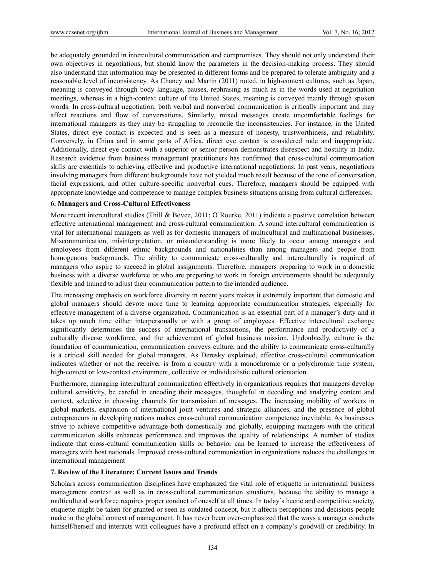be adequately grounded in intercultural communication and compromises. They should not only understand their own objectives in negotiations, but should know the parameters in the decision-making process. They should also understand that information may be presented in different forms and be prepared to tolerate ambiguity and a reasonable level of inconsistency. As Chaney and Martin (2011) noted, in high-context cultures, such as Japan, meaning is conveyed through body language, pauses, rephrasing as much as in the words used at negotiation meetings, whereas in a high-context culture of the United States, meaning is conveyed mainly through spoken words. In cross-cultural negotiation, both verbal and nonverbal communication is critically important and may affect reactions and flow of conversations. Similarly, mixed messages create uncomfortable feelings for international managers as they may be struggling to reconcile the inconsistencies. For instance, in the United States, direct eye contact is expected and is seen as a measure of honesty, trustworthiness, and reliability. Conversely, in China and in some parts of Africa, direct eye contact is considered rude and inappropriate. Additionally, direct eye contact with a superior or senior person demonstrates disrespect and hostility in India. Research evidence from business management practitioners has confirmed that cross-cultural communication skills are essentials to achieving effective and productive international negotiations. In past years, negotiations involving managers from different backgrounds have not yielded much result because of the tone of conversation, facial expressions, and other culture-specific nonverbal cues. Therefore, managers should be equipped with appropriate knowledge and competence to manage complex business situations arising from cultural differences.

# **6. Managers and Cross-Cultural Effectiveness**

More recent intercultural studies (Thill & Bovee, 2011; O'Rourke, 2011) indicate a positive correlation between effective international management and cross-cultural communication. A sound intercultural communication is vital for international managers as well as for domestic managers of multicultural and multinational businesses. Miscommunication, misinterpretation, or misunderstanding is more likely to occur among managers and employees from different ethnic backgrounds and nationalities than among managers and people from homogenous backgrounds. The ability to communicate cross-culturally and interculturally is required of managers who aspire to succeed in global assignments. Therefore, managers preparing to work in a domestic business with a diverse workforce or who are preparing to work in foreign environments should be adequately flexible and trained to adjust their communication pattern to the intended audience.

The increasing emphasis on workforce diversity in recent years makes it extremely important that domestic and global managers should devote more time to learning appropriate communication strategies, especially for effective management of a diverse organization. Communication is an essential part of a manager's duty and it takes up much time either interpersonally or with a group of employees. Effective intercultural exchange significantly determines the success of international transactions, the performance and productivity of a culturally diverse workforce, and the achievement of global business mission. Undoubtedly, culture is the foundation of communication, communication conveys culture, and the ability to communicate cross-culturally is a critical skill needed for global managers. As Deresky explained, effective cross-cultural communication indicates whether or not the receiver is from a country with a monochromic or a polychromic time system, high-context or low-context environment, collective or individualistic cultural orientation.

Furthermore, managing intercultural communication effectively in organizations requires that managers develop cultural sensitivity, be careful in encoding their messages, thoughtful in decoding and analyzing content and context, selective in choosing channels for transmission of messages. The increasing mobility of workers in global markets, expansion of international joint ventures and strategic alliances, and the presence of global entrepreneurs in developing nations makes cross-cultural communication competence inevitable. As businesses strive to achieve competitive advantage both domestically and globally, equipping managers with the critical communication skills enhances performance and improves the quality of relationships. A number of studies indicate that cross-cultural communication skills or behavior can be learned to increase the effectiveness of managers with host nationals. Improved cross-cultural communication in organizations reduces the challenges in international management

# **7. Review of the Literature: Current Issues and Trends**

Scholars across communication disciplines have emphasized the vital role of etiquette in international business management context as well as in cross-cultural communication situations, because the ability to manage a multicultural workforce requires proper conduct of oneself at all times. In today's hectic and competitive society, etiquette might be taken for granted or seen as outdated concept, but it affects perceptions and decisions people make in the global context of management. It has never been over-emphasized that the ways a manager conducts himself/herself and interacts with colleagues have a profound effect on a company's goodwill or credibility. In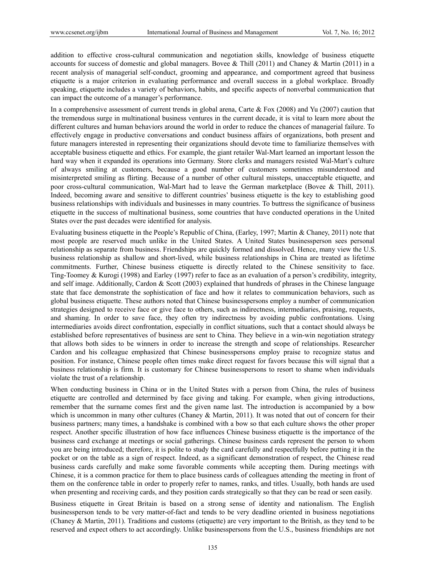addition to effective cross-cultural communication and negotiation skills, knowledge of business etiquette accounts for success of domestic and global managers. Bovee & Thill (2011) and Chaney & Martin (2011) in a recent analysis of managerial self-conduct, grooming and appearance, and comportment agreed that business etiquette is a major criterion in evaluating performance and overall success in a global workplace. Broadly speaking, etiquette includes a variety of behaviors, habits, and specific aspects of nonverbal communication that can impact the outcome of a manager's performance.

In a comprehensive assessment of current trends in global arena, Carte & Fox (2008) and Yu (2007) caution that the tremendous surge in multinational business ventures in the current decade, it is vital to learn more about the different cultures and human behaviors around the world in order to reduce the chances of managerial failure. To effectively engage in productive conversations and conduct business affairs of organizations, both present and future managers interested in representing their organizations should devote time to familiarize themselves with acceptable business etiquette and ethics. For example, the giant retailer Wal-Mart learned an important lesson the hard way when it expanded its operations into Germany. Store clerks and managers resisted Wal-Mart's culture of always smiling at customers, because a good number of customers sometimes misunderstood and misinterpreted smiling as flirting. Because of a number of other cultural missteps, unacceptable etiquette, and poor cross-cultural communication, Wal-Mart had to leave the German marketplace (Bovee & Thill, 2011). Indeed, becoming aware and sensitive to different countries' business etiquette is the key to establishing good business relationships with individuals and businesses in many countries. To buttress the significance of business etiquette in the success of multinational business, some countries that have conducted operations in the United States over the past decades were identified for analysis.

Evaluating business etiquette in the People's Republic of China, (Earley, 1997; Martin & Chaney, 2011) note that most people are reserved much unlike in the United States. A United States businessperson sees personal relationship as separate from business. Friendships are quickly formed and dissolved. Hence, many view the U.S. business relationship as shallow and short-lived, while business relationships in China are treated as lifetime commitments. Further, Chinese business etiquette is directly related to the Chinese sensitivity to face. Ting-Toomey & Kurogi (1998) and Earley (1997) refer to face as an evaluation of a person's credibility, integrity, and self image. Additionally, Cardon & Scott (2003) explained that hundreds of phrases in the Chinese language state that face demonstrate the sophistication of face and how it relates to communication behaviors, such as global business etiquette. These authors noted that Chinese businesspersons employ a number of communication strategies designed to receive face or give face to others, such as indirectness, intermediaries, praising, requests, and shaming. In order to save face, they often try indirectness by avoiding public confrontations. Using intermediaries avoids direct confrontation, especially in conflict situations, such that a contact should always be established before representatives of business are sent to China. They believe in a win-win negotiation strategy that allows both sides to be winners in order to increase the strength and scope of relationships. Researcher Cardon and his colleague emphasized that Chinese businesspersons employ praise to recognize status and position. For instance, Chinese people often times make direct request for favors because this will signal that a business relationship is firm. It is customary for Chinese businesspersons to resort to shame when individuals violate the trust of a relationship.

When conducting business in China or in the United States with a person from China, the rules of business etiquette are controlled and determined by face giving and taking. For example, when giving introductions, remember that the surname comes first and the given name last. The introduction is accompanied by a bow which is uncommon in many other cultures (Chaney & Martin, 2011). It was noted that out of concern for their business partners; many times, a handshake is combined with a bow so that each culture shows the other proper respect. Another specific illustration of how face influences Chinese business etiquette is the importance of the business card exchange at meetings or social gatherings. Chinese business cards represent the person to whom you are being introduced; therefore, it is polite to study the card carefully and respectfully before putting it in the pocket or on the table as a sign of respect. Indeed, as a significant demonstration of respect, the Chinese read business cards carefully and make some favorable comments while accepting them. During meetings with Chinese, it is a common practice for them to place business cards of colleagues attending the meeting in front of them on the conference table in order to properly refer to names, ranks, and titles. Usually, both hands are used when presenting and receiving cards, and they position cards strategically so that they can be read or seen easily.

Business etiquette in Great Britain is based on a strong sense of identity and nationalism. The English businessperson tends to be very matter-of-fact and tends to be very deadline oriented in business negotiations (Chaney & Martin, 2011). Traditions and customs (etiquette) are very important to the British, as they tend to be reserved and expect others to act accordingly. Unlike businesspersons from the U.S., business friendships are not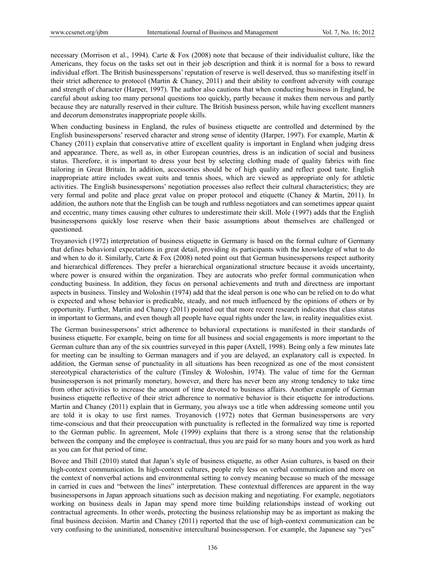necessary (Morrison et al., 1994). Carte & Fox (2008) note that because of their individualist culture, like the Americans, they focus on the tasks set out in their job description and think it is normal for a boss to reward individual effort. The British businesspersons' reputation of reserve is well deserved, thus so manifesting itself in their strict adherence to protocol (Martin & Chaney, 2011) and their ability to confront adversity with courage and strength of character (Harper, 1997). The author also cautions that when conducting business in England, be careful about asking too many personal questions too quickly, partly because it makes them nervous and partly because they are naturally reserved in their culture. The British business person, while having excellent manners and decorum demonstrates inappropriate people skills.

When conducting business in England, the rules of business etiquette are controlled and determined by the English businesspersons' reserved character and strong sense of identity (Harper, 1997). For example, Martin & Chaney (2011) explain that conservative attire of excellent quality is important in England when judging dress and appearance. There, as well as, in other European countries, dress is an indication of social and business status. Therefore, it is important to dress your best by selecting clothing made of quality fabrics with fine tailoring in Great Britain. In addition, accessories should be of high quality and reflect good taste. English inappropriate attire includes sweat suits and tennis shoes, which are viewed as appropriate only for athletic activities. The English businesspersons' negotiation processes also reflect their cultural characteristics; they are very formal and polite and place great value on proper protocol and etiquette (Chaney & Martin, 2011). In addition, the authors note that the English can be tough and ruthless negotiators and can sometimes appear quaint and eccentric, many times causing other cultures to underestimate their skill. Mole (1997) adds that the English businesspersons quickly lose reserve when their basic assumptions about themselves are challenged or questioned.

Troyanovich (1972) interpretation of business etiquette in Germany is based on the formal culture of Germany that defines behavioral expectations in great detail, providing its participants with the knowledge of what to do and when to do it. Similarly, Carte & Fox (2008) noted point out that German businesspersons respect authority and hierarchical differences. They prefer a hierarchical organizational structure because it avoids uncertainty, where power is ensured within the organization. They are autocrats who prefer formal communication when conducting business. In addition, they focus on personal achievements and truth and directness are important aspects in business. Tinsley and Woloshin (1974) add that the ideal person is one who can be relied on to do what is expected and whose behavior is predicable, steady, and not much influenced by the opinions of others or by opportunity. Further, Martin and Chaney (2011) pointed out that more recent research indicates that class status in important to Germans, and even though all people have equal rights under the law, in reality inequalities exist.

The German businesspersons' strict adherence to behavioral expectations is manifested in their standards of business etiquette. For example, being on time for all business and social engagements is more important to the German culture than any of the six countries surveyed in this paper (Axtell, 1998). Being only a few minutes late for meeting can be insulting to German managers and if you are delayed, an explanatory call is expected. In addition, the German sense of punctuality in all situations has been recognized as one of the most consistent stereotypical characteristics of the culture (Tinsley & Woloshin, 1974). The value of time for the German businessperson is not primarily monetary, however, and there has never been any strong tendency to take time from other activities to increase the amount of time devoted to business affairs. Another example of German business etiquette reflective of their strict adherence to normative behavior is their etiquette for introductions. Martin and Chaney (2011) explain that in Germany, you always use a title when addressing someone until you are told it is okay to use first names. Troyanovich (1972) notes that German businesspersons are very time-conscious and that their preoccupation with punctuality is reflected in the formalized way time is reported to the German public. In agreement, Mole (1999) explains that there is a strong sense that the relationship between the company and the employee is contractual, thus you are paid for so many hours and you work as hard as you can for that period of time.

Bovee and Thill (2010) stated that Japan's style of business etiquette, as other Asian cultures, is based on their high-context communication. In high-context cultures, people rely less on verbal communication and more on the context of nonverbal actions and environmental setting to convey meaning because so much of the message in carried in cues and "between the lines" interpretation. These contextual differences are apparent in the way businesspersons in Japan approach situations such as decision making and negotiating. For example, negotiators working on business deals in Japan may spend more time building relationships instead of working out contractual agreements. In other words, protecting the business relationship may be as important as making the final business decision. Martin and Chaney (2011) reported that the use of high-context communication can be very confusing to the uninitiated, nonsenitive intercultural businessperson. For example, the Japanese say "yes"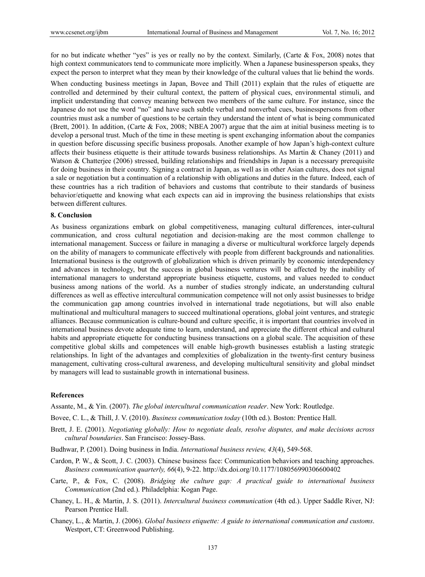for no but indicate whether "yes" is yes or really no by the context. Similarly, (Carte  $\&$  Fox, 2008) notes that high context communicators tend to communicate more implicitly. When a Japanese businessperson speaks, they expect the person to interpret what they mean by their knowledge of the cultural values that lie behind the words.

When conducting business meetings in Japan, Bovee and Thill (2011) explain that the rules of etiquette are controlled and determined by their cultural context, the pattern of physical cues, environmental stimuli, and implicit understanding that convey meaning between two members of the same culture. For instance, since the Japanese do not use the word "no" and have such subtle verbal and nonverbal cues, businesspersons from other countries must ask a number of questions to be certain they understand the intent of what is being communicated (Brett, 2001). In addition, (Carte & Fox, 2008; NBEA 2007) argue that the aim at initial business meeting is to develop a personal trust. Much of the time in these meeting is spent exchanging information about the companies in question before discussing specific business proposals. Another example of how Japan's high-context culture affects their business etiquette is their attitude towards business relationships. As Martin  $\&$  Chaney (2011) and Watson & Chatterjee (2006) stressed, building relationships and friendships in Japan is a necessary prerequisite for doing business in their country. Signing a contract in Japan, as well as in other Asian cultures, does not signal a sale or negotiation but a continuation of a relationship with obligations and duties in the future. Indeed, each of these countries has a rich tradition of behaviors and customs that contribute to their standards of business behavior/etiquette and knowing what each expects can aid in improving the business relationships that exists between different cultures.

#### **8. Conclusion**

As business organizations embark on global competitiveness, managing cultural differences, inter-cultural communication, and cross cultural negotiation and decision-making are the most common challenge to international management. Success or failure in managing a diverse or multicultural workforce largely depends on the ability of managers to communicate effectively with people from different backgrounds and nationalities. International business is the outgrowth of globalization which is driven primarily by economic interdependency and advances in technology, but the success in global business ventures will be affected by the inability of international managers to understand appropriate business etiquette, customs, and values needed to conduct business among nations of the world. As a number of studies strongly indicate, an understanding cultural differences as well as effective intercultural communication competence will not only assist businesses to bridge the communication gap among countries involved in international trade negotiations, but will also enable multinational and multicultural managers to succeed multinational operations, global joint ventures, and strategic alliances. Because communication is culture-bound and culture specific, it is important that countries involved in international business devote adequate time to learn, understand, and appreciate the different ethical and cultural habits and appropriate etiquette for conducting business transactions on a global scale. The acquisition of these competitive global skills and competences will enable high-growth businesses establish a lasting strategic relationships. In light of the advantages and complexities of globalization in the twenty-first century business management, cultivating cross-cultural awareness, and developing multicultural sensitivity and global mindset by managers will lead to sustainable growth in international business.

### **References**

Assante, M., & Yin. (2007). *The global intercultural communication reader*. New York: Routledge.

Bovee, C. L., & Thill, J. V. (2010). *Business communication today* (10th ed.). Boston: Prentice Hall.

- Brett, J. E. (2001). *Negotiating globally: How to negotiate deals, resolve disputes, and make decisions across cultural boundaries*. San Francisco: Jossey-Bass.
- Budhwar, P. (2001). Doing business in India. *International business review, 43*(4), 549-568.
- Cardon, P. W., & Scott, J. C. (2003). Chinese business face: Communication behaviors and teaching approaches. *Business communication quarterly, 66*(4), 9-22. http://dx.doi.org/10.1177/108056990306600402
- Carte, P., & Fox, C. (2008). *Bridging the culture gap: A practical guide to international business Communication* (2nd ed.). Philadelphia: Kogan Page.
- Chaney, L. H., & Martin, J. S. (2011). *Intercultural business communication* (4th ed.). Upper Saddle River, NJ: Pearson Prentice Hall.
- Chaney, L., & Martin, J. (2006). *Global business etiquette: A guide to international communication and customs*. Westport, CT: Greenwood Publishing.